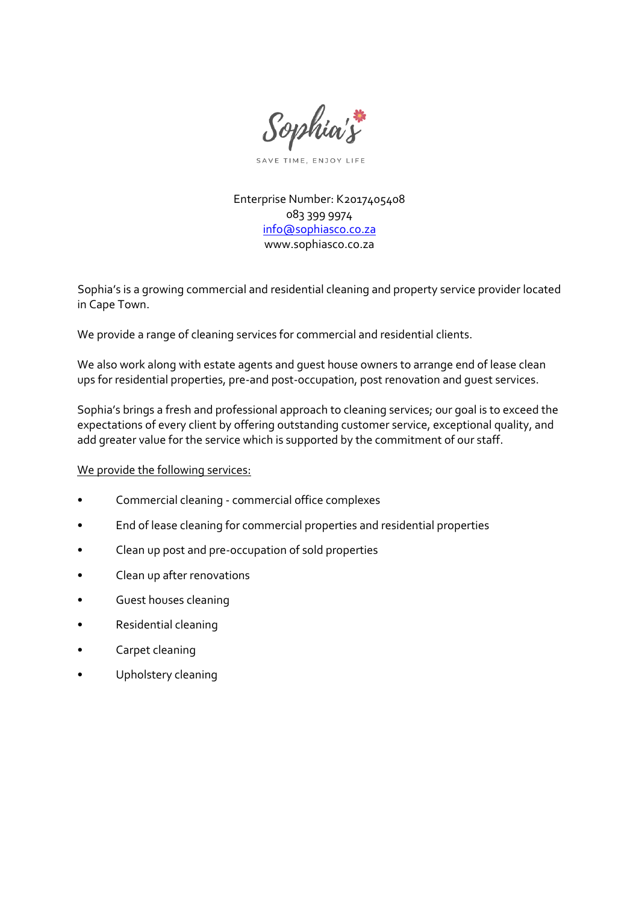

SAVE TIME, ENJOY LIFE

Enterprise Number: K2017405408 083 399 9974 [info@sophiasco.co.za](mailto:info@sophiasco.co.za) www.sophiasco.co.za

Sophia's is a growing commercial and residential cleaning and property service provider located in Cape Town.

We provide a range of cleaning services for commercial and residential clients.

We also work along with estate agents and guest house owners to arrange end of lease clean ups for residential properties, pre-and post-occupation, post renovation and guest services.

Sophia's brings a fresh and professional approach to cleaning services; our goal is to exceed the expectations of every client by offering outstanding customer service, exceptional quality, and add greater value for the service which is supported by the commitment of our staff.

We provide the following services:

- Commercial cleaning commercial office complexes
- End of lease cleaning for commercial properties and residential properties
- Clean up post and pre-occupation of sold properties
- Clean up after renovations
- Guest houses cleaning
- Residential cleaning
- Carpet cleaning
- Upholstery cleaning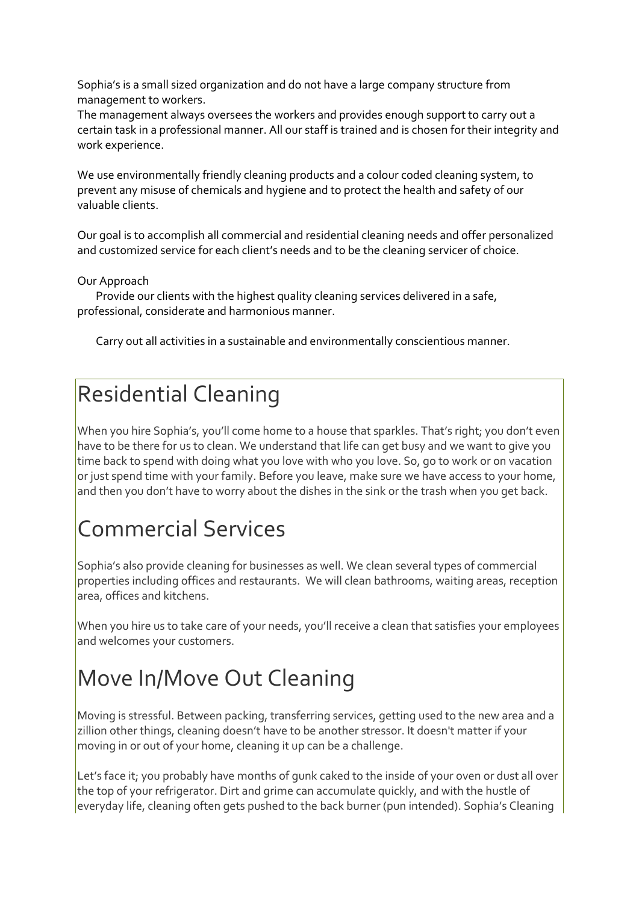Sophia's is a small sized organization and do not have a large company structure from management to workers.

The management always oversees the workers and provides enough support to carry out a certain task in a professional manner. All our staff is trained and is chosen for their integrity and work experience.

We use environmentally friendly cleaning products and a colour coded cleaning system, to prevent any misuse of chemicals and hygiene and to protect the health and safety of our valuable clients.

Our goal is to accomplish all commercial and residential cleaning needs and offer personalized and customized service for each client's needs and to be the cleaning servicer of choice.

Our Approach

Provide our clients with the highest quality cleaning services delivered in a safe, professional, considerate and harmonious manner.

Carry out all activities in a sustainable and environmentally conscientious manner.

### Residential Cleaning

When you hire Sophia's, you'll come home to a house that sparkles. That's right; you don't even have to be there for us to clean. We understand that life can get busy and we want to give you time back to spend with doing what you love with who you love. So, go to work or on vacation or just spend time with your family. Before you leave, make sure we have access to your home, and then you don't have to worry about the dishes in the sink or the trash when you get back.

## Commercial Services

Sophia's also provide cleaning for businesses as well. We clean several types of commercial properties including offices and restaurants. We will clean bathrooms, waiting areas, reception area, offices and kitchens.

When you hire us to take care of your needs, you'll receive a clean that satisfies your employees and welcomes your customers.

## Move In/Move Out Cleaning

Moving is stressful. Between packing, transferring services, getting used to the new area and a zillion other things, cleaning doesn't have to be another stressor. It doesn't matter if your moving in or out of your home, cleaning it up can be a challenge.

Let's face it; you probably have months of gunk caked to the inside of your oven or dust all over the top of your refrigerator. Dirt and grime can accumulate quickly, and with the hustle of everyday life, cleaning often gets pushed to the back burner (pun intended). Sophia's Cleaning